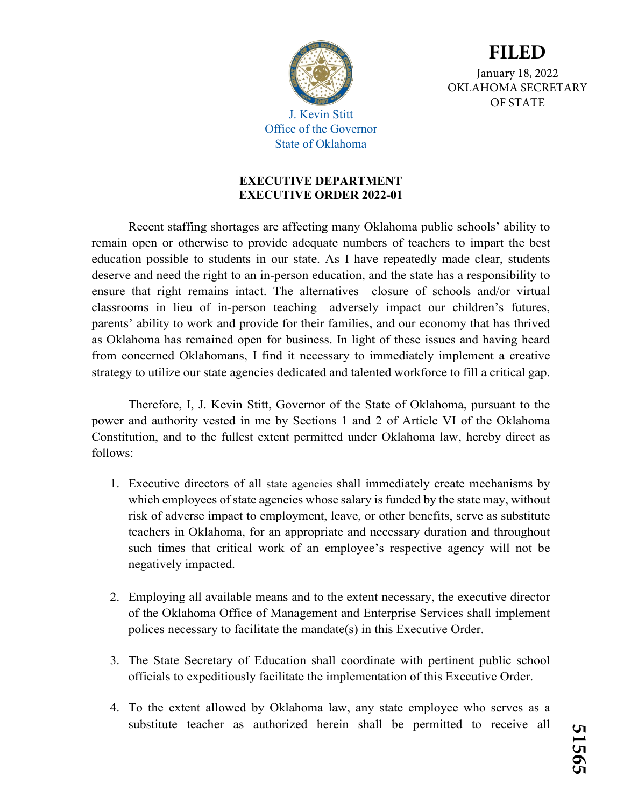

January 18, 2022 OKLAHOMA SECRETARY OF STATE

**FILED**

J. Kevin Stitt Office of the Governor State of Oklahoma

## **EXECUTIVE DEPARTMENT EXECUTIVE ORDER 2022-01**

Recent staffing shortages are affecting many Oklahoma public schools' ability to remain open or otherwise to provide adequate numbers of teachers to impart the best education possible to students in our state. As I have repeatedly made clear, students deserve and need the right to an in-person education, and the state has a responsibility to ensure that right remains intact. The alternatives—closure of schools and/or virtual classrooms in lieu of in-person teaching—adversely impact our children's futures, parents' ability to work and provide for their families, and our economy that has thrived as Oklahoma has remained open for business. In light of these issues and having heard from concerned Oklahomans, I find it necessary to immediately implement a creative strategy to utilize our state agencies dedicated and talented workforce to fill a critical gap.

Therefore, I, J. Kevin Stitt, Governor of the State of Oklahoma, pursuant to the power and authority vested in me by Sections 1 and 2 of Article VI of the Oklahoma Constitution, and to the fullest extent permitted under Oklahoma law, hereby direct as follows:

- 1. Executive directors of all state agencies shall immediately create mechanisms by which employees of state agencies whose salary is funded by the state may, without risk of adverse impact to employment, leave, or other benefits, serve as substitute teachers in Oklahoma, for an appropriate and necessary duration and throughout such times that critical work of an employee's respective agency will not be negatively impacted.
- 2. Employing all available means and to the extent necessary, the executive director of the Oklahoma Office of Management and Enterprise Services shall implement polices necessary to facilitate the mandate(s) in this Executive Order.
- 3. The State Secretary of Education shall coordinate with pertinent public school officials to expeditiously facilitate the implementation of this Executive Order.
- 4. To the extent allowed by Oklahoma law, any state employee who serves as a substitute teacher as authorized herein shall be permitted to receive all